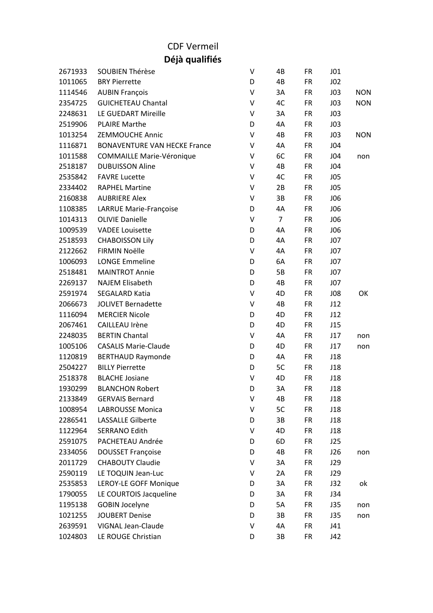## CDF Vermeil

**Déjà qualifiés**

| 2671933 | <b>SOUBIEN Thérèse</b>              | V | 4B             | <b>FR</b> | J01             |            |
|---------|-------------------------------------|---|----------------|-----------|-----------------|------------|
| 1011065 | <b>BRY Pierrette</b>                | D | 4B             | <b>FR</b> | J <sub>02</sub> |            |
| 1114546 | <b>AUBIN François</b>               | V | 3A             | <b>FR</b> | J <sub>03</sub> | <b>NON</b> |
| 2354725 | <b>GUICHETEAU Chantal</b>           | V | 4C             | <b>FR</b> | J <sub>03</sub> | <b>NON</b> |
| 2248631 | LE GUEDART Mireille                 | V | 3A             | <b>FR</b> | J <sub>03</sub> |            |
| 2519906 | <b>PLAIRE Marthe</b>                | D | 4A             | <b>FR</b> | J <sub>03</sub> |            |
| 1013254 | <b>ZEMMOUCHE Annic</b>              | V | 4B             | <b>FR</b> | J <sub>03</sub> | <b>NON</b> |
| 1116871 | <b>BONAVENTURE VAN HECKE France</b> | V | 4A             | <b>FR</b> | J04             |            |
| 1011588 | <b>COMMAILLE Marie-Véronique</b>    | V | 6C             | <b>FR</b> | J04             | non        |
| 2518187 | <b>DUBUISSON Aline</b>              | V | 4B             | <b>FR</b> | J04             |            |
| 2535842 | <b>FAVRE Lucette</b>                | V | 4C             | <b>FR</b> | J05             |            |
| 2334402 | <b>RAPHEL Martine</b>               | V | 2B             | <b>FR</b> | J05             |            |
| 2160838 | <b>AUBRIERE Alex</b>                | V | 3B             | <b>FR</b> | <b>JO6</b>      |            |
| 1108385 | LARRUE Marie-Françoise              | D | 4A             | <b>FR</b> | <b>JO6</b>      |            |
| 1014313 | <b>OLIVIE Danielle</b>              | V | $\overline{7}$ | <b>FR</b> | <b>JO6</b>      |            |
| 1009539 | <b>VADEE Louisette</b>              | D | 4A             | <b>FR</b> | <b>JO6</b>      |            |
| 2518593 | <b>CHABOISSON Lily</b>              | D | 4A             | <b>FR</b> | J07             |            |
| 2122662 | <b>FIRMIN Noëlle</b>                | V | 4A             | <b>FR</b> | J07             |            |
| 1006093 | <b>LONGE Emmeline</b>               | D | 6A             | <b>FR</b> | J07             |            |
| 2518481 | <b>MAINTROT Annie</b>               | D | 5B             | <b>FR</b> | J07             |            |
| 2269137 | <b>NAJEM Elisabeth</b>              | D | 4B             | <b>FR</b> | J07             |            |
| 2591974 | <b>SEGALARD Katia</b>               | V | 4D             | <b>FR</b> | J08             | OK         |
| 2066673 | <b>JOLIVET Bernadette</b>           | V | 4B             | <b>FR</b> | J12             |            |
| 1116094 | <b>MERCIER Nicole</b>               | D | 4D             | <b>FR</b> | J12             |            |
| 2067461 | <b>CAILLEAU Irène</b>               | D | 4D             | <b>FR</b> | J15             |            |
| 2248035 | <b>BERTIN Chantal</b>               | V | 4A             | <b>FR</b> | J17             | non        |
| 1005106 | <b>CASALIS Marie-Claude</b>         | D | 4D             | <b>FR</b> | J17             | non        |
| 1120819 | <b>BERTHAUD Raymonde</b>            | D | 4A             | <b>FR</b> | J18             |            |
| 2504227 | <b>BILLY Pierrette</b>              | D | 5C             | <b>FR</b> | J18             |            |
| 2518378 | <b>BLACHE Josiane</b>               | V | 4D             | <b>FR</b> | J18             |            |
| 1930299 | <b>BLANCHON Robert</b>              | D | 3A             | <b>FR</b> | J18             |            |
| 2133849 | <b>GERVAIS Bernard</b>              | V | 4B             | <b>FR</b> | J18             |            |
| 1008954 | <b>LABROUSSE Monica</b>             | V | 5C             | <b>FR</b> | J18             |            |
| 2286541 | <b>LASSALLE Gilberte</b>            | D | 3B             | FR        | J18             |            |
| 1122964 | <b>SERRANO Edith</b>                | V | 4D             | <b>FR</b> | J18             |            |
| 2591075 | PACHETEAU Andrée                    | D | 6D             | <b>FR</b> | J25             |            |
| 2334056 | <b>DOUSSET Françoise</b>            | D | 4B             | <b>FR</b> | J26             | non        |
| 2011729 | <b>CHABOUTY Claudie</b>             | V | 3A             | <b>FR</b> | J29             |            |
| 2590119 | LE TOQUIN Jean-Luc                  | V | 2A             | <b>FR</b> | J29             |            |
| 2535853 | LEROY-LE GOFF Monique               | D | 3A             | <b>FR</b> | J32             | ok         |
| 1790055 | LE COURTOIS Jacqueline              | D | 3A             | FR        | J34             |            |
| 1195138 | <b>GOBIN Jocelyne</b>               | D | 5A             | <b>FR</b> | J35             | non        |
| 1021255 | <b>JOUBERT Denise</b>               | D | 3B             | <b>FR</b> | <b>J35</b>      | non        |
| 2639591 | VIGNAL Jean-Claude                  | V | 4A             | <b>FR</b> | J41             |            |
| 1024803 | LE ROUGE Christian                  | D | 3B             | <b>FR</b> | J42             |            |